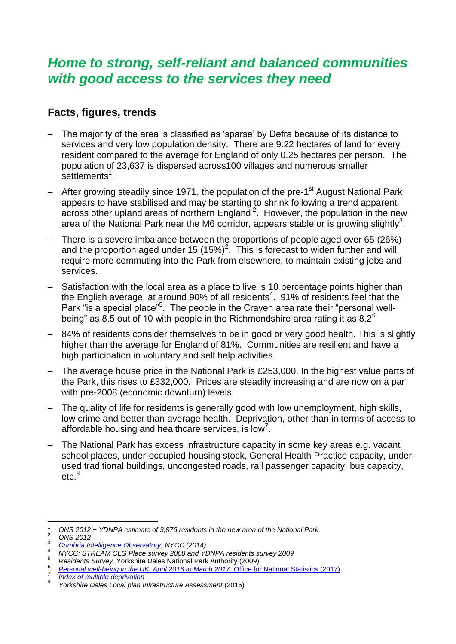## *Home to strong, self-reliant and balanced communities with good access to the services they need*

## **Facts, figures, trends**

- The majority of the area is classified as 'sparse' by Defra because of its distance to services and very low population density. There are 9.22 hectares of land for every resident compared to the average for England of only 0.25 hectares per person. The population of 23,637 is dispersed across100 villages and numerous smaller settlements<sup>1</sup>.
- <span id="page-0-0"></span>- After growing steadily since 1971, the population of the pre-1<sup>st</sup> August National Park appears to have stabilised and may be starting to shrink following a trend apparent across other upland areas of northern England<sup>2</sup>. However, the population in the new area of the National Park near the M6 corridor, appears stable or is growing slightly<sup>3</sup>.
- There is a severe imbalance between the proportions of people aged over 65 (26%) and the proportion aged under 15  $(15\%)^2$ [.](#page-0-0) This is forecast to widen further and will require more commuting into the Park from elsewhere, to maintain existing jobs and services.
- Satisfaction with the local area as a place to live is 10 percentage points higher than the English average, at around 90% of all residents<sup>4</sup>. 91% of residents feel that the Park "is a special place"<sup>5</sup>. The people in the Craven area rate their "personal wellbeing" as 8.5 out of 10 with people in the Richmondshire area rating it as  $8.2^6$
- 84% of residents consider themselves to be in good or very good health. This is slightly higher than the average for England of 81%. Communities are resilient and have a high participation in voluntary and self help activities.
- The average house price in the National Park is £253,000. In the highest value parts of the Park, this rises to £332,000. Prices are steadily increasing and are now on a par with pre-2008 (economic downturn) levels.
- The quality of life for residents is generally good with low unemployment, high skills, low crime and better than average health. Deprivation, other than in terms of access to affordable housing and healthcare services, is low<sup>7</sup>.
- The National Park has excess infrastructure capacity in some key areas e.g. vacant school places, under-occupied housing stock, General Health Practice capacity, underused traditional buildings, uncongested roads, rail passenger capacity, bus capacity, etc.<sup>8</sup>

 $\overline{a}$ 

*7 [Index of multiple deprivation](https://www.gov.uk/government/statistics/english-indices-of-deprivation-2015) 8*

<sup>1</sup> *ONS 2012 + YDNPA estimate of 3,876 residents in the new area of the National Park*

<sup>2</sup> *ONS 2012*

<sup>3</sup> *[Cumbria Intelligence Observatory;](https://www.cumbriaobservatory.org.uk/population/) NYCC (2014)*

<sup>4</sup> *NYCC; STREAM CLG Place survey 2008 and YDNPA residents survey 2009*

<sup>5</sup> *Residents Survey,* Yorkshire Dales National Park Authority (2009)

<sup>6</sup> *[Personal well-being in the UK: April 2016 to March 2017](https://www.ons.gov.uk/peoplepopulationandcommunity/wellbeing/bulletins/measuringnationalwellbeing/april2016tomarch2017#how-do-people-rate-their-personal-well-being-in-your-area)*, Office for National Statistics (2017)

*Yorkshire Dales Local plan Infrastructure Assessment* (2015)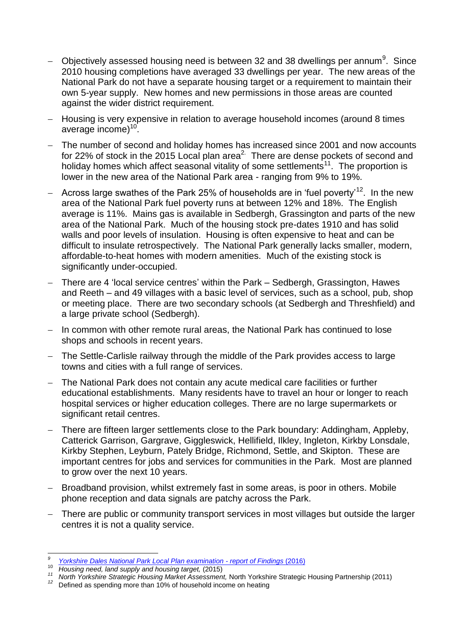- $-$  Objectively assessed housing need is between 32 and 38 dwellings per annum $^9$ . Since 2010 housing completions have averaged 33 dwellings per year. The new areas of the National Park do not have a separate housing target or a requirement to maintain their own 5-year supply. New homes and new permissions in those areas are counted against the wider district requirement.
- Housing is very expensive in relation to average household incomes (around 8 times average income)<sup>10</sup>.
- The number of second and holiday homes has increased since 2001 and now accounts for 22% of stock in the 2015 Local plan area<sup>[2.](#page-0-0)</sup> There are dense pockets of second and holiday homes which affect seasonal vitality of some settlements<sup>11</sup>. The proportion is lower in the new area of the National Park area - ranging from 9% to 19%.
- $-$  Across large swathes of the Park 25% of households are in 'fuel poverty'<sup>12</sup>. In the new area of the National Park fuel poverty runs at between 12% and 18%. The English average is 11%. Mains gas is available in Sedbergh, Grassington and parts of the new area of the National Park. Much of the housing stock pre-dates 1910 and has solid walls and poor levels of insulation. Housing is often expensive to heat and can be difficult to insulate retrospectively. The National Park generally lacks smaller, modern, affordable-to-heat homes with modern amenities. Much of the existing stock is significantly under-occupied.
- There are 4 'local service centres' within the Park Sedbergh, Grassington, Hawes and Reeth – and 49 villages with a basic level of services, such as a school, pub, shop or meeting place. There are two secondary schools (at Sedbergh and Threshfield) and a large private school (Sedbergh).
- In common with other remote rural areas, the National Park has continued to lose shops and schools in recent years.
- The Settle-Carlisle railway through the middle of the Park provides access to large towns and cities with a full range of services.
- The National Park does not contain any acute medical care facilities or further educational establishments. Many residents have to travel an hour or longer to reach hospital services or higher education colleges. There are no large supermarkets or significant retail centres.
- There are fifteen larger settlements close to the Park boundary: Addingham, Appleby, Catterick Garrison, Gargrave, Giggleswick, Hellifield, Ilkley, Ingleton, Kirkby Lonsdale, Kirkby Stephen, Leyburn, Pately Bridge, Richmond, Settle, and Skipton. These are important centres for jobs and services for communities in the Park. Most are planned to grow over the next 10 years.
- Broadband provision, whilst extremely fast in some areas, is poor in others. Mobile phone reception and data signals are patchy across the Park.
- There are public or community transport services in most villages but outside the larger centres it is not a quality service.

 *9 [Yorkshire Dales National Park Local Plan examination -](https://yorkshiredales.npuk-wp.uk/wp-content/uploads/sites/13/2019/08/Inspectors-Final-Report-Dec-2016.pdf) report of Findings* (2016)

<sup>10</sup> *Housing need, land supply and housing target,* (2015)

*<sup>11</sup> North Yorkshire Strategic Housing Market Assessment,* North Yorkshire Strategic Housing Partnership (2011)

*<sup>12</sup>* Defined as spending more than 10% of household income on heating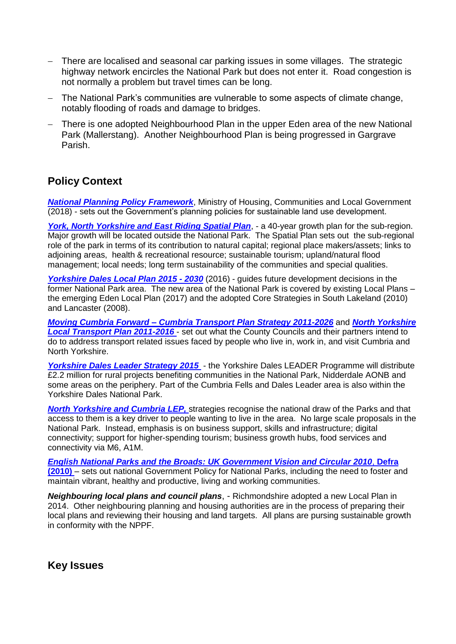- There are localised and seasonal car parking issues in some villages. The strategic highway network encircles the National Park but does not enter it. Road congestion is not normally a problem but travel times can be long.
- The National Park's communities are vulnerable to some aspects of climate change, notably flooding of roads and damage to bridges.
- There is one adopted Neighbourhood Plan in the upper Eden area of the new National Park (Mallerstang). Another Neighbourhood Plan is being progressed in Gargrave Parish.

## **Policy Context**

*[National Planning Policy Framework](https://assets.publishing.service.gov.uk/government/uploads/system/uploads/attachment_data/file/740441/National_Planning_Policy_Framework_web_accessible_version.pdf)*, Ministry of Housing, Communities and Local Government (2018) - sets out the Government's planning policies for sustainable land use development.

*York, North Yorkshire and East Riding Spatial Plan*, - a 40-year growth plan for the sub-region. Major growth will be located outside the National Park. The Spatial Plan sets out the sub-regional role of the park in terms of its contribution to natural capital; regional place makers/assets; links to adjoining areas, health & recreational resource; sustainable tourism; upland/natural flood management; local needs; long term sustainability of the communities and special qualities.

*[Yorkshire Dales Local Plan 2015](https://yorkshiredales.npuk-wp.uk/wp-content/uploads/sites/13/2019/06/Yorkshire-Dales-National-Park-Local-Plan-2015-30.pdf) - 2030* (2016) - guides future development decisions in the former National Park area. The new area of the National Park is covered by existing Local Plans – the emerging Eden Local Plan (2017) and the adopted Core Strategies in South Lakeland (2010) and Lancaster (2008).

*Moving Cumbria Forward – [Cumbria Transport Plan Strategy 2011-2026](http://www.cumbria.gov.uk/epagewiz/uploaded/movingcumbriaforward/)* and *[North Yorkshire](http://www.northyorks.gov.uk/index.aspx?articleid=10446)  [Local Transport Plan 2011-2016](http://www.northyorks.gov.uk/index.aspx?articleid=10446)* - set out what the County Councils and their partners intend to do to address transport related issues faced by people who live in, work in, and visit Cumbria and North Yorkshire.

*Yorkshire Dales Leader Strategy 2015* - the Yorkshire Dales LEADER Programme will distribute £2.2 million for rural projects benefiting communities in the National Park, Nidderdale AONB and some areas on the periphery. Part of the Cumbria Fells and Dales Leader area is also within the Yorkshire Dales National Park.

*North Yorkshire and Cumbria LEP,* strategies recognise the national draw of the Parks and that access to them is a key driver to people wanting to live in the area. No large scale proposals in the National Park. Instead, emphasis is on business support, skills and infrastructure; digital connectivity; support for higher-spending tourism; business growth hubs, food services and connectivity via M6, A1M.

*[English National Parks and the Broads: UK Government Vision and Circular 2010](https://www.gov.uk/government/uploads/system/uploads/attachment_data/file/221086/pb13387-vision-circular2010.pdf)*, **Defra (2010)** – sets out national Government Policy for National Parks, including the need to foster and maintain vibrant, healthy and productive, living and working communities.

*Neighbouring local plans and council plans*, - Richmondshire adopted a new Local Plan in 2014. Other neighbouring planning and housing authorities are in the process of preparing their local plans and reviewing their housing and land targets. All plans are pursing sustainable growth in conformity with the NPPF.

**Key Issues**